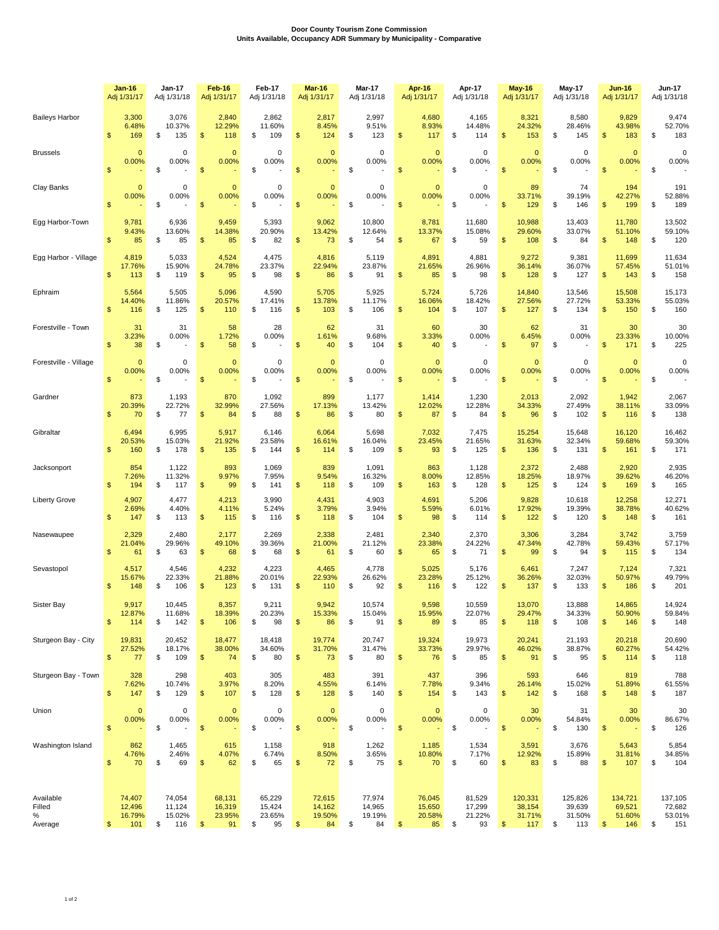## **Door County Tourism Zone Commission Units Available, Occupancy ADR Summary by Municipality - Comparative**

|                                     | <b>Jan-16</b>                           | <b>Jan-17</b>                                | <b>Feb-16</b>                                     | Feb-17                                 | Mar-16                                            | Mar-17                                 | Apr-16                                                 | Apr-17                                 | <b>May-16</b>                                        | <b>May-17</b>                            | Jun-16                                              | <b>Jun-17</b>                            |
|-------------------------------------|-----------------------------------------|----------------------------------------------|---------------------------------------------------|----------------------------------------|---------------------------------------------------|----------------------------------------|--------------------------------------------------------|----------------------------------------|------------------------------------------------------|------------------------------------------|-----------------------------------------------------|------------------------------------------|
|                                     | Adj 1/31/17                             | Adj 1/31/18                                  | Adj 1/31/17                                       | Adj 1/31/18                            | Adj 1/31/17                                       | Adj 1/31/18                            | Adj 1/31/17                                            | Adj 1/31/18                            | Adj 1/31/17                                          | Adj 1/31/18                              | Adj 1/31/17                                         | Adj 1/31/18                              |
| <b>Baileys Harbor</b>               | 3,300                                   | 3,076                                        | 2,840                                             | 2,862                                  | 2,817                                             | 2,997                                  | 4,680                                                  | 4,165                                  | 8,321                                                | 8,580                                    | 9,829                                               | 9,474                                    |
|                                     | 6.48%                                   | 10.37%                                       | 12.29%                                            | 11.60%                                 | 8.45%                                             | 9.51%                                  | 8.93%                                                  | 14.48%                                 | 24.32%                                               | 28.46%                                   | 43.98%                                              | 52.70%                                   |
|                                     | \$                                      | \$                                           | \$                                                | \$                                     | \$                                                | \$                                     | \$                                                     | \$                                     | \$                                                   | \$                                       | \$                                                  | \$                                       |
|                                     | 169                                     | 135                                          | 118                                               | 109                                    | 124                                               | 123                                    | 117                                                    | 114                                    | 153                                                  | 145                                      | 183                                                 | 183                                      |
| <b>Brussels</b>                     | $\mathbf{0}$                            | $\Omega$                                     | $\mathbf{0}$                                      | 0                                      | $\mathbf{0}$                                      | 0                                      | $\mathbf{0}$                                           | $\mathbf 0$                            | $\mathbf{0}$                                         | 0                                        | $\mathbf 0$                                         | 0                                        |
|                                     | 0.00%                                   | 0.00%                                        | 0.00%                                             | 0.00%                                  | 0.00%                                             | 0.00%                                  | 0.00%                                                  | 0.00%                                  | 0.00%                                                | 0.00%                                    | 0.00%                                               | 0.00%                                    |
|                                     | $\mathfrak{s}$                          | \$                                           | $\mathfrak{s}$                                    | \$                                     | $\mathfrak{s}$                                    | \$                                     | \$                                                     | \$                                     | $\mathfrak{s}$                                       | \$                                       | $\mathfrak{s}$                                      | \$                                       |
| Clay Banks                          | $\mathbf{0}$<br>0.00%<br>$\mathbf{s}$   | $\mathbf 0$<br>0.00%<br>\$                   | $\mathbf{0}$<br>0.00%<br>$\mathfrak{s}$           | 0<br>0.00%<br>\$                       | $\mathbf{0}$<br>0.00%<br>$\mathfrak{s}$           | 0<br>0.00%<br>\$                       | $\mathbf{0}$<br>0.00%<br>\$                            | $\mathbf 0$<br>0.00%<br>\$             | 89<br>33.71%<br>$\mathfrak{s}$<br>129                | 74<br>39.19%<br>\$<br>146                | 194<br>42.27%<br>$\mathfrak{s}$<br>199              | 191<br>52.88%<br>\$<br>189               |
| Egg Harbor-Town                     | 9,781                                   | 6,936                                        | 9,459                                             | 5,393                                  | 9,062                                             | 10,800                                 | 8,781                                                  | 11,680                                 | 10,988                                               | 13,403                                   | 11,780                                              | 13,502                                   |
|                                     | 9.43%                                   | 13.60%                                       | 14.38%                                            | 20.90%                                 | 13.42%                                            | 12.64%                                 | 13.37%                                                 | 15.08%                                 | 29.60%                                               | 33.07%                                   | 51.10%                                              | 59.10%                                   |
|                                     | $\mathfrak{s}$                          | \$                                           | $\mathfrak{s}$                                    | \$                                     | $\mathfrak{s}$                                    | \$                                     | $\mathfrak{s}$                                         | \$                                     | $\mathfrak{s}$                                       | \$                                       | $\frac{1}{2}$                                       | \$                                       |
|                                     | 85                                      | 85                                           | 85                                                | 82                                     | 73                                                | 54                                     | 67                                                     | 59                                     | 108                                                  | 84                                       | 148                                                 | 120                                      |
| Egg Harbor - Village                | 4,819                                   | 5,033                                        | 4,524                                             | 4,475                                  | 4,816                                             | 5,119                                  | 4,891                                                  | 4,881                                  | 9,272                                                | 9,381                                    | 11,699                                              | 11,634                                   |
|                                     | 17.76%                                  | 15.90%                                       | 24.78%                                            | 23.37%                                 | 22.94%                                            | 23.87%                                 | 21.65%                                                 | 26.96%                                 | 36.14%                                               | 36.07%                                   | 57.45%                                              | 51.01%                                   |
|                                     | \$                                      | \$                                           | \$                                                | \$                                     | $\mathfrak{s}$                                    | \$                                     | \$                                                     | \$                                     | 128                                                  | \$                                       | $\mathfrak{s}$                                      | \$                                       |
|                                     | 113                                     | 119                                          | 95                                                | 98                                     | 86                                                | 91                                     | 85                                                     | 98                                     | \$                                                   | 127                                      | 143                                                 | 158                                      |
| Ephraim                             | 5,564                                   | 5,505                                        | 5,096                                             | 4,590                                  | 5,705                                             | 5,925                                  | 5,724                                                  | 5,726                                  | 14,840                                               | 13,546                                   | 15,508                                              | 15,173                                   |
|                                     | 14.40%                                  | 11.86%                                       | 20.57%                                            | 17.41%                                 | 13.78%                                            | 11.17%                                 | 16.06%                                                 | 18.42%                                 | 27.56%                                               | 27.72%                                   | 53.33%                                              | 55.03%                                   |
|                                     | $\mathbf{s}$                            | 125                                          | \$                                                | \$                                     | 103                                               | \$                                     | 104                                                    | 107                                    | 127                                                  | \$                                       | $\mathsf{\$}$                                       | \$                                       |
|                                     | 116                                     | \$                                           | 110                                               | 116                                    | $\mathfrak{s}$                                    | 106                                    | \$                                                     | \$                                     | \$                                                   | 134                                      | 150                                                 | 160                                      |
| Forestville - Town                  | 31<br>3.23%<br>\$<br>38                 | 31<br>0.00%<br>\$                            | 58<br>1.72%<br>\$<br>58                           | 28<br>0.00%<br>\$                      | 62<br>1.61%<br>$\mathfrak{s}$<br>40               | 31<br>9.68%<br>\$<br>104               | 60<br>3.33%<br>\$<br>40                                | 30<br>0.00%<br>\$                      | 62<br>6.45%<br>97<br>\$                              | 31<br>0.00%<br>\$                        | 30<br>23.33%<br>$\mathsf{\$}$<br>171                | 30<br>10.00%<br>225<br>\$                |
| Forestville - Village               | $\overline{0}$                          | $\Omega$                                     | $\mathbf{0}$                                      | $\Omega$                               | $\mathbf{0}$                                      | $\Omega$                               | $\mathbf{0}$                                           | $\Omega$                               | $\overline{0}$                                       | 0                                        | $\Omega$                                            | $\mathbf 0$                              |
|                                     | 0.00%                                   | 0.00%                                        | 0.00%                                             | 0.00%                                  | 0.00%                                             | 0.00%                                  | 0.00%                                                  | 0.00%                                  | 0.00%                                                | 0.00%                                    | 0.00%                                               | 0.00%                                    |
|                                     | $\mathfrak{s}$                          | \$                                           | \$                                                | \$                                     | $\mathfrak{s}$                                    | \$                                     | $\mathsf{\$}$                                          | \$                                     | $\mathfrak{s}$                                       | \$                                       | $\mathsf{\$}$                                       | \$                                       |
| Gardner                             | 873                                     | 1,193                                        | 870                                               | 1,092                                  | 899                                               | 1,177                                  | 1,414                                                  | 1,230                                  | 2,013                                                | 2,092                                    | 1,942                                               | 2,067                                    |
|                                     | 20.39%                                  | 22.72%                                       | 32.99%                                            | 27.56%                                 | 17.13%                                            | 13.42%                                 | 12.02%                                                 | 12.28%                                 | 34.33%                                               | 27.49%                                   | 38.11%                                              | 33.09%                                   |
|                                     | $\mathbf{s}$                            | \$                                           | \$                                                | \$                                     | $\mathfrak{s}$                                    | \$                                     | \$                                                     | \$                                     | $\mathsf{\$}$                                        | \$                                       | $\frac{1}{2}$                                       | \$                                       |
|                                     | 70                                      | 77                                           | 84                                                | 88                                     | 86                                                | 80                                     | 87                                                     | 84                                     | 96                                                   | 102                                      | 116                                                 | 138                                      |
| Gibraltar                           | 6,494                                   | 6,995                                        | 5,917                                             | 6,146                                  | 6,064                                             | 5,698                                  | 7,032                                                  | 7.475                                  | 15,254                                               | 15,648                                   | 16,120                                              | 16,462                                   |
|                                     | 20.53%                                  | 15.03%                                       | 21.92%                                            | 23.58%                                 | 16.61%                                            | 16.04%                                 | 23.45%                                                 | 21.65%                                 | 31.63%                                               | 32.34%                                   | 59.68%                                              | 59.30%                                   |
|                                     | \$                                      | 178                                          | \$                                                | \$                                     | \$                                                | 109                                    | \$                                                     | 125                                    | 136                                                  | \$                                       | $\mathfrak{s}$                                      | \$                                       |
|                                     | 160                                     | \$                                           | 135                                               | 144                                    | 114                                               | \$                                     | 93                                                     | \$                                     | \$                                                   | 131                                      | 161                                                 | 171                                      |
| Jacksonport                         | 854                                     | 1,122                                        | 893                                               | 1,069                                  | 839                                               | 1,091                                  | 863                                                    | 1,128                                  | 2,372                                                | 2,488                                    | 2,920                                               | 2,935                                    |
|                                     | 7.26%                                   | 11.32%                                       | 9.97%                                             | 7.95%                                  | 9.54%                                             | 16.32%                                 | 8.00%                                                  | 12.85%                                 | 18.25%                                               | 18.97%                                   | 39.62%                                              | 46.20%                                   |
|                                     | \$                                      | \$                                           | \$                                                | \$                                     | \$                                                | \$                                     | \$                                                     | \$                                     | \$                                                   | \$                                       | $\mathsf{\$}$                                       | \$                                       |
|                                     | 194                                     | 117                                          | 99                                                | 141                                    | 118                                               | 109                                    | 163                                                    | 128                                    | 125                                                  | 124                                      | 169                                                 | 165                                      |
| <b>Liberty Grove</b>                | 4,907                                   | 4,477                                        | 4,213                                             | 3,990                                  | 4,431                                             | 4,903                                  | 4,691                                                  | 5,206                                  | 9,828                                                | 10,618                                   | 12,258                                              | 12,271                                   |
|                                     | 2.69%                                   | 4.40%                                        | 4.11%                                             | 5.24%                                  | 3.79%                                             | 3.94%                                  | 5.59%                                                  | 6.01%                                  | 17.92%                                               | 19.39%                                   | 38.78%                                              | 40.62%                                   |
|                                     | \$                                      | 113                                          | \$                                                | \$                                     | 118                                               | 104                                    | \$                                                     | 114                                    | 122                                                  | \$                                       | \$                                                  | \$                                       |
|                                     | 147                                     | \$                                           | 115                                               | 116                                    | \$                                                | \$                                     | 98                                                     | S                                      | \$                                                   | 120                                      | 148                                                 | 161                                      |
| Nasewaupee                          | 2,329                                   | 2,480                                        | 2,177                                             | 2,269                                  | 2,338                                             | 2,481                                  | 2,340                                                  | 2,370                                  | 3,306                                                | 3,284                                    | 3,742                                               | 3,759                                    |
|                                     | 21.04%                                  | 29.96%                                       | 49.10%                                            | 39.36%                                 | 21.00%                                            | 21.12%                                 | 23.38%                                                 | 24.22%                                 | 47.34%                                               | 42.78%                                   | 59.43%                                              | 57.17%                                   |
|                                     | \$                                      | 63                                           | \$                                                | \$                                     | $\mathfrak{s}$                                    | 60                                     | \$                                                     | 71                                     | 99                                                   | \$                                       | \$                                                  | \$                                       |
|                                     | 61                                      | \$                                           | 68                                                | 68                                     | 61                                                | \$                                     | 65                                                     | \$                                     | \$                                                   | 94                                       | 115                                                 | 134                                      |
| Sevastopol                          | 4,517                                   | 4,546                                        | 4,232                                             | 4,223                                  | 4,465                                             | 4,778                                  | 5,025                                                  | 5,176                                  | 6,461                                                | 7,247                                    | 7,124                                               | 7,321                                    |
|                                     | 15.67%                                  | 22.33%                                       | 21.88%                                            | 20.01%                                 | 22.93%                                            | 26.62%                                 | 23.28%                                                 | 25.12%                                 | 36.26%                                               | 32.03%                                   | 50.97%                                              | 49.79%                                   |
|                                     | \$                                      | 106                                          | 123                                               | 131                                    | \$                                                | 92                                     | \$                                                     | 122                                    | 137                                                  | \$                                       | \$                                                  | 201                                      |
|                                     | 148                                     | S                                            | \$                                                | \$                                     | 110                                               | \$                                     | 116                                                    | \$                                     | \$                                                   | 133                                      | 186                                                 | \$                                       |
| Sister Bay                          | 9,917                                   | 10.445                                       | 8,357                                             | 9,211                                  | 9.942                                             | 10,574                                 | 9,598                                                  | 10,559                                 | 13,070                                               | 13,888                                   | 14,865                                              | 14,924                                   |
|                                     | 12.87%                                  | 11.68%                                       | 18.39%                                            | 20.23%                                 | 15.33%                                            | 15.04%                                 | 15.95%                                                 | 22.07%                                 | 29.47%                                               | 34.33%                                   | 50.90%                                              | 59.84%                                   |
|                                     | \$                                      | \$                                           | \$                                                | 98                                     | 86                                                | 91                                     | \$                                                     | \$                                     | \$                                                   | \$                                       | \$                                                  | 148                                      |
|                                     | 114                                     | 142                                          | 106                                               | \$                                     | \$                                                | \$                                     | 89                                                     | 85                                     | 118                                                  | 108                                      | 146                                                 | \$                                       |
| Sturgeon Bay - City                 | 19,831                                  | 20,452                                       | 18,477                                            | 18,418                                 | 19,774                                            | 20,747                                 | 19,324                                                 | 19,973                                 | 20,241                                               | 21,193                                   | 20,218                                              | 20,690                                   |
|                                     | 27.52%                                  | 18.17%                                       | 38.00%                                            | 34.60%                                 | 31.70%                                            | 31.47%                                 | 33.73%                                                 | 29.97%                                 | 46.02%                                               | 38.87%                                   | 60.27%                                              | 54.42%                                   |
|                                     | $\sqrt[6]{3}$                           | 109                                          | $\sqrt[6]{3}$                                     | \$                                     | $\mathfrak{s}$                                    | 80                                     | \$                                                     | \$                                     | \$                                                   | \$                                       | $\frac{1}{2}$                                       | \$                                       |
|                                     | 77                                      | \$                                           | 74                                                | 80                                     | 73                                                | \$                                     | 76                                                     | 85                                     | 91                                                   | 95                                       | 114                                                 | 118                                      |
| Sturgeon Bay - Town                 | 328                                     | 298                                          | 403                                               | 305                                    | 483                                               | 391                                    | 437                                                    | 396                                    | 593                                                  | 646                                      | 819                                                 | 788                                      |
|                                     | 7.62%                                   | 10.74%                                       | 3.97%                                             | 8.20%                                  | 4.55%                                             | 6.14%                                  | 7.78%                                                  | 9.34%                                  | 26.14%                                               | 15.02%                                   | 51.89%                                              | 61.55%                                   |
|                                     | \$                                      | 129                                          | \$                                                | 128                                    | 128                                               | 140                                    | \$                                                     | \$                                     | \$                                                   | \$                                       | \$                                                  | 187                                      |
|                                     | 147                                     | \$                                           | 107                                               | \$                                     | \$                                                | \$                                     | 154                                                    | 143                                    | 142                                                  | 168                                      | 148                                                 | \$                                       |
| Union                               | $\mathbf 0$<br>0.00%<br>$\mathsf{\$}$   | 0<br>0.00%<br>\$<br>$\overline{\phantom{a}}$ | $\mathbf{0}$<br>0.00%<br>$\sqrt[6]{3}$            | 0<br>0.00%<br>\$                       | $\mathbf{0}$<br>0.00%<br>$$\mathsf{S}$$<br>÷,     | 0<br>0.00%<br>\$                       | $\mathbf 0$<br>0.00%<br>\$<br>$\overline{\phantom{a}}$ | 0<br>0.00%<br>\$                       | 30<br>0.00%<br>$\sqrt[6]{3}$<br>$\sim$               | 31<br>54.84%<br>\$<br>130                | 30<br>0.00%<br>$\frac{1}{2}$                        | 30<br>86.67%<br>\$<br>126                |
| Washington Island                   | 862                                     | 1,465                                        | 615                                               | 1,158                                  | 918                                               | 1,262                                  | 1,185                                                  | 1,534                                  | 3,591                                                | 3,676                                    | 5,643                                               | 5,854                                    |
|                                     | 4.76%                                   | 2.46%                                        | 4.07%                                             | 6.74%                                  | 8.50%                                             | 3.65%                                  | 10.80%                                                 | 7.17%                                  | 12.92%                                               | 15.89%                                   | 31.81%                                              | 34.85%                                   |
|                                     | \$                                      | \$                                           | \$                                                | \$                                     | $\frac{1}{2}$                                     | 75                                     | \$                                                     | \$                                     | \$                                                   | \$                                       | \$                                                  | \$                                       |
|                                     | 70                                      | 69                                           | 62                                                | 65                                     | 72                                                | \$                                     | 70                                                     | 60                                     | 83                                                   | 88                                       | 107                                                 | 104                                      |
| Available<br>Filled<br>%<br>Average | 74,407<br>12,496<br>16.79%<br>\$<br>101 | 74,054<br>11,124<br>15.02%<br>\$<br>116      | 68,131<br>16,319<br>23.95%<br>$\frac{3}{2}$<br>91 | 65,229<br>15,424<br>23.65%<br>\$<br>95 | 72,615<br>14,162<br>19.50%<br>$\frac{2}{3}$<br>84 | 77,974<br>14,965<br>19.19%<br>\$<br>84 | 76,045<br>15,650<br>20.58%<br>$\frac{1}{2}$<br>85      | 81,529<br>17,299<br>21.22%<br>\$<br>93 | 120,331<br>38,154<br>31.71%<br>$\mathfrak{S}$<br>117 | 125,826<br>39,639<br>31.50%<br>\$<br>113 | 134,721<br>69,521<br>51.60%<br>$\frac{1}{2}$<br>146 | 137,105<br>72,682<br>53.01%<br>\$<br>151 |